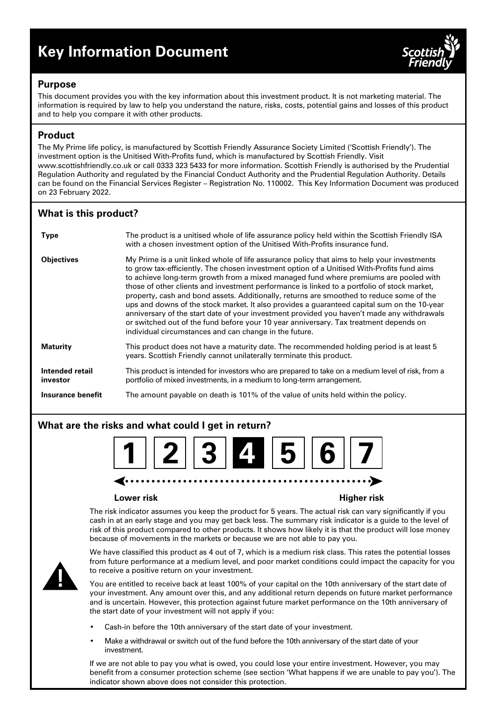# **Key Information Document**



## **Purpose**

This document provides you with the key information about this investment product. It is not marketing material. The information is required by law to help you understand the nature, risks, costs, potential gains and losses of this product and to help you compare it with other products.

# **Product**

The My Prime life policy, is manufactured by Scottish Friendly Assurance Society Limited ('Scottish Friendly'). The investment option is the Unitised With-Profits fund, which is manufactured by Scottish Friendly. Visit www.scottishfriendly.co.uk or call 0333 323 5433 for more information. Scottish Friendly is authorised by the Prudential Regulation Authority and regulated by the Financial Conduct Authority and the Prudential Regulation Authority. Details can be found on the Financial Services Register – Registration No. 110002. This Key Information Document was produced on 23 February 2022.

# **What is this product?**

| <b>Type</b>                 | The product is a unitised whole of life assurance policy held within the Scottish Friendly ISA<br>with a chosen investment option of the Unitised With-Profits insurance fund.                                                                                                                                                                                                                                                                                                                                                                                                                                                                                                                                                                                                                                               |
|-----------------------------|------------------------------------------------------------------------------------------------------------------------------------------------------------------------------------------------------------------------------------------------------------------------------------------------------------------------------------------------------------------------------------------------------------------------------------------------------------------------------------------------------------------------------------------------------------------------------------------------------------------------------------------------------------------------------------------------------------------------------------------------------------------------------------------------------------------------------|
| <b>Objectives</b>           | My Prime is a unit linked whole of life assurance policy that aims to help your investments<br>to grow tax-efficiently. The chosen investment option of a Unitised With-Profits fund aims<br>to achieve long-term growth from a mixed managed fund where premiums are pooled with<br>those of other clients and investment performance is linked to a portfolio of stock market,<br>property, cash and bond assets. Additionally, returns are smoothed to reduce some of the<br>ups and downs of the stock market. It also provides a guaranteed capital sum on the 10-year<br>anniversary of the start date of your investment provided you haven't made any withdrawals<br>or switched out of the fund before your 10 year anniversary. Tax treatment depends on<br>individual circumstances and can change in the future. |
| <b>Maturity</b>             | This product does not have a maturity date. The recommended holding period is at least 5<br>years. Scottish Friendly cannot unilaterally terminate this product.                                                                                                                                                                                                                                                                                                                                                                                                                                                                                                                                                                                                                                                             |
| Intended retail<br>investor | This product is intended for investors who are prepared to take on a medium level of risk, from a<br>portfolio of mixed investments, in a medium to long-term arrangement.                                                                                                                                                                                                                                                                                                                                                                                                                                                                                                                                                                                                                                                   |
| Insurance benefit           | The amount payable on death is 101% of the value of units held within the policy.                                                                                                                                                                                                                                                                                                                                                                                                                                                                                                                                                                                                                                                                                                                                            |

# **What are the risks and what could I get in return?**



#### **Lower risk Higher risk**

The risk indicator assumes you keep the product for 5 years. The actual risk can vary significantly if you cash in at an early stage and you may get back less. The summary risk indicator is a guide to the level of risk of this product compared to other products. It shows how likely it is that the product will lose money because of movements in the markets or because we are not able to pay you.



We have classified this product as 4 out of 7, which is a medium risk class. This rates the potential losses from future performance at a medium level, and poor market conditions could impact the capacity for you to receive a positive return on your investment.

You are entitled to receive back at least 100% of your capital on the 10th anniversary of the start date of your investment. Any amount over this, and any additional return depends on future market performance and is uncertain. However, this protection against future market performance on the 10th anniversary of the start date of your investment will not apply if you:

- Cash-in before the 10th anniversary of the start date of your investment.
- Make a withdrawal or switch out of the fund before the 10th anniversary of the start date of your investment.

If we are not able to pay you what is owed, you could lose your entire investment. However, you may benefit from a consumer protection scheme (see section 'What happens if we are unable to pay you'). The indicator shown above does not consider this protection.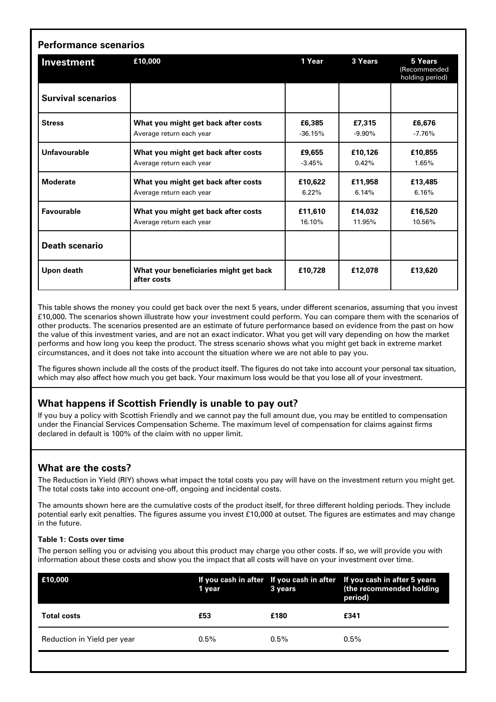| Investment                | £10,000                                               | 1 Year    | 3 Years  | 5 Years<br>(Recommended<br>holding period) |
|---------------------------|-------------------------------------------------------|-----------|----------|--------------------------------------------|
| <b>Survival scenarios</b> |                                                       |           |          |                                            |
| <b>Stress</b>             | What you might get back after costs                   | £6,385    | £7,315   | £6,676                                     |
|                           | Average return each year                              | $-36.15%$ | $-9.90%$ | $-7.76%$                                   |
| Unfavourable              | What you might get back after costs                   | £9,655    | £10,126  | £10,855                                    |
|                           | Average return each year                              | $-3.45%$  | 0.42%    | 1.65%                                      |
| <b>Moderate</b>           | What you might get back after costs                   | £10,622   | £11,958  | £13,485                                    |
|                           | Average return each year                              | $6.22\%$  | 6.14%    | 6.16%                                      |
| <b>Favourable</b>         | What you might get back after costs                   | £11,610   | £14,032  | £16,520                                    |
|                           | Average return each year                              | 16.10%    | 11.95%   | 10.56%                                     |
| <b>Death scenario</b>     |                                                       |           |          |                                            |
| Upon death                | What your beneficiaries might get back<br>after costs | £10.728   | £12,078  | £13,620                                    |

This table shows the money you could get back over the next 5 years, under different scenarios, assuming that you invest £10,000. The scenarios shown illustrate how your investment could perform. You can compare them with the scenarios of other products. The scenarios presented are an estimate of future performance based on evidence from the past on how the value of this investment varies, and are not an exact indicator. What you get will vary depending on how the market performs and how long you keep the product. The stress scenario shows what you might get back in extreme market circumstances, and it does not take into account the situation where we are not able to pay you.

The figures shown include all the costs of the product itself. The figures do not take into account your personal tax situation, which may also affect how much you get back. Your maximum loss would be that you lose all of your investment.

# **What happens if Scottish Friendly is unable to pay out?**

If you buy a policy with Scottish Friendly and we cannot pay the full amount due, you may be entitled to compensation under the Financial Services Compensation Scheme. The maximum level of compensation for claims against firms declared in default is 100% of the claim with no upper limit.

# **What are the costs?**

The Reduction in Yield (RIY) shows what impact the total costs you pay will have on the investment return you might get. The total costs take into account one-off, ongoing and incidental costs.

The amounts shown here are the cumulative costs of the product itself, for three different holding periods. They include potential early exit penalties. The figures assume you invest £10,000 at outset. The figures are estimates and may change in the future.

#### **Table 1: Costs over time**

The person selling you or advising you about this product may charge you other costs. If so, we will provide you with information about these costs and show you the impact that all costs will have on your investment over time.

| £10,000                     | 1 year  | 3 years | If you cash in after If you cash in after If you cash in after 5 years<br>(the recommended holding<br>period) |
|-----------------------------|---------|---------|---------------------------------------------------------------------------------------------------------------|
| <b>Total costs</b>          | £53     | £180    | £341                                                                                                          |
| Reduction in Yield per year | $0.5\%$ | $0.5\%$ | $0.5\%$                                                                                                       |